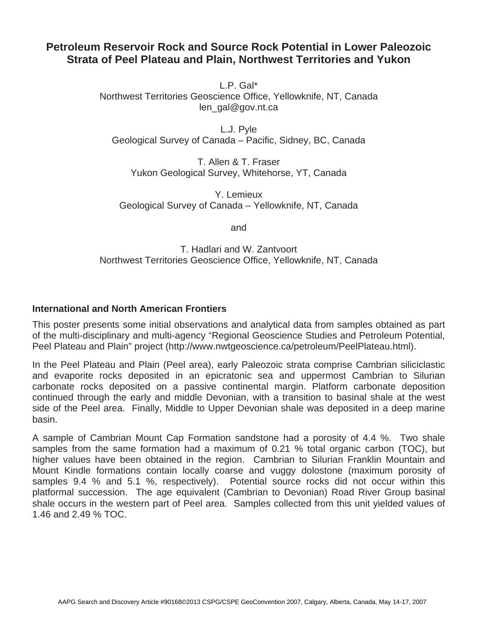## **Petroleum Reservoir Rock and Source Rock Potential in Lower Paleozoic Strata of Peel Plateau and Plain, Northwest Territories and Yukon**

L.P. Gal\*

Northwest Territories Geoscience Office, Yellowknife, NT, Canada len\_gal@gov.nt.ca

L.J. Pyle Geological Survey of Canada – Pacific, Sidney, BC, Canada

T. Allen & T. Fraser Yukon Geological Survey, Whitehorse, YT, Canada

Y. Lemieux Geological Survey of Canada – Yellowknife, NT, Canada

and

T. Hadlari and W. Zantvoort Northwest Territories Geoscience Office, Yellowknife, NT, Canada

## **International and North American Frontiers**

This poster presents some initial observations and analytical data from samples obtained as part of the multi-disciplinary and multi-agency "Regional Geoscience Studies and Petroleum Potential, Peel Plateau and Plain" project (http://www.nwtgeoscience.ca/petroleum/PeelPlateau.html).

In the Peel Plateau and Plain (Peel area), early Paleozoic strata comprise Cambrian siliciclastic and evaporite rocks deposited in an epicratonic sea and uppermost Cambrian to Silurian carbonate rocks deposited on a passive continental margin. Platform carbonate deposition continued through the early and middle Devonian, with a transition to basinal shale at the west side of the Peel area. Finally, Middle to Upper Devonian shale was deposited in a deep marine basin.

A sample of Cambrian Mount Cap Formation sandstone had a porosity of 4.4 %. Two shale samples from the same formation had a maximum of 0.21 % total organic carbon (TOC), but higher values have been obtained in the region. Cambrian to Silurian Franklin Mountain and Mount Kindle formations contain locally coarse and vuggy dolostone (maximum porosity of samples 9.4 % and 5.1 %, respectively). Potential source rocks did not occur within this platformal succession. The age equivalent (Cambrian to Devonian) Road River Group basinal shale occurs in the western part of Peel area. Samples collected from this unit yielded values of 1.46 and 2.49 % TOC.